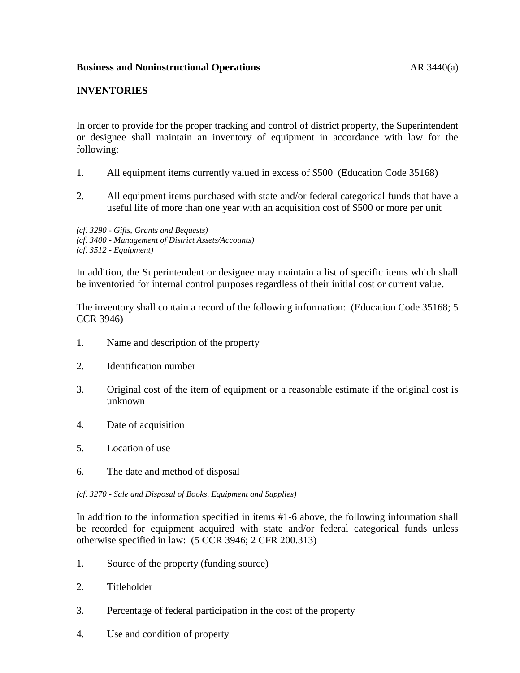# **INVENTORIES**

In order to provide for the proper tracking and control of district property, the Superintendent or designee shall maintain an inventory of equipment in accordance with law for the following:

- 1. All equipment items currently valued in excess of \$500 (Education Code 35168)
- 2. All equipment items purchased with state and/or federal categorical funds that have a useful life of more than one year with an acquisition cost of \$500 or more per unit

*(cf. 3290 - Gifts, Grants and Bequests) (cf. 3400 - Management of District Assets/Accounts) (cf. 3512 - Equipment)*

In addition, the Superintendent or designee may maintain a list of specific items which shall be inventoried for internal control purposes regardless of their initial cost or current value.

The inventory shall contain a record of the following information: (Education Code 35168; 5 CCR 3946)

- 1. Name and description of the property
- 2. Identification number
- 3. Original cost of the item of equipment or a reasonable estimate if the original cost is unknown
- 4. Date of acquisition
- 5. Location of use
- 6. The date and method of disposal
- *(cf. 3270 - Sale and Disposal of Books, Equipment and Supplies)*

In addition to the information specified in items #1-6 above, the following information shall be recorded for equipment acquired with state and/or federal categorical funds unless otherwise specified in law: (5 CCR 3946; 2 CFR 200.313)

- 1. Source of the property (funding source)
- 2. Titleholder
- 3. Percentage of federal participation in the cost of the property
- 4. Use and condition of property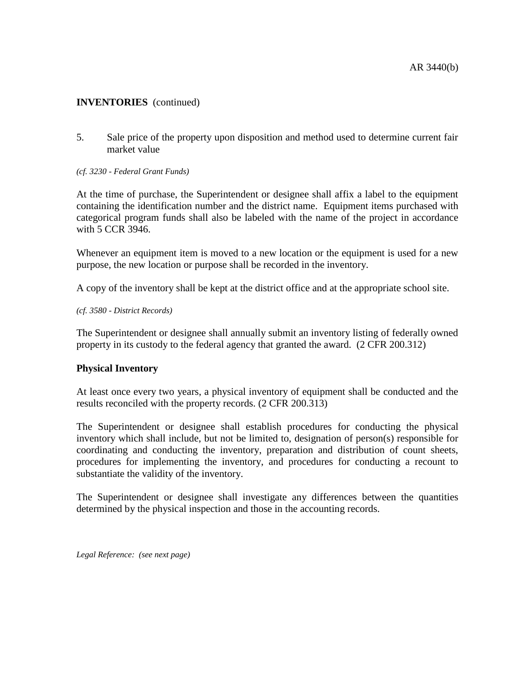## **INVENTORIES** (continued)

- 5. Sale price of the property upon disposition and method used to determine current fair market value
- *(cf. 3230 - Federal Grant Funds)*

At the time of purchase, the Superintendent or designee shall affix a label to the equipment containing the identification number and the district name. Equipment items purchased with categorical program funds shall also be labeled with the name of the project in accordance with 5 CCR 3946.

Whenever an equipment item is moved to a new location or the equipment is used for a new purpose, the new location or purpose shall be recorded in the inventory.

A copy of the inventory shall be kept at the district office and at the appropriate school site.

*(cf. 3580 - District Records)*

The Superintendent or designee shall annually submit an inventory listing of federally owned property in its custody to the federal agency that granted the award. (2 CFR 200.312)

### **Physical Inventory**

At least once every two years, a physical inventory of equipment shall be conducted and the results reconciled with the property records. (2 CFR 200.313)

The Superintendent or designee shall establish procedures for conducting the physical inventory which shall include, but not be limited to, designation of person(s) responsible for coordinating and conducting the inventory, preparation and distribution of count sheets, procedures for implementing the inventory, and procedures for conducting a recount to substantiate the validity of the inventory.

The Superintendent or designee shall investigate any differences between the quantities determined by the physical inspection and those in the accounting records.

*Legal Reference: (see next page)*